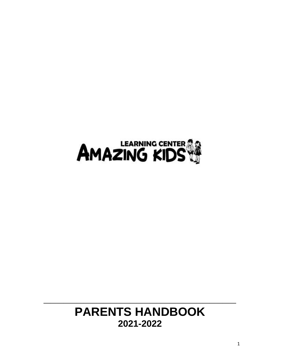

# **PARENTS HANDBOOK 2021-2022**

**\_\_\_\_\_\_\_\_\_\_\_\_\_\_\_\_\_\_\_\_\_\_\_\_\_\_\_\_\_**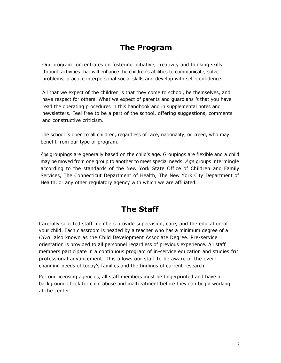# **The Program**

Our program concentrates on fostering initiative, creativity and thinking skills through activities that will enhance the children's abilities to communicate, solve problems, practice interpersonal social skills and develop with self-confidence.

All that we expect of the children is that they come to school, be themselves, and have respect for others. What we expect of parents and guardians *is* that you have read the operating procedures in this handbook and in supplemental notes and newsletters. Feel free to be a part of the school, offering suggestions, comments and constructive criticism.

The school *is* open to all children, regardless of race, nationality, or creed, who may benefit from our type of program.

*Age* groupings are generally based on the child's age. Groupings are flexible and a child may be moved from one group to another to meet special needs. *Age* groups intermingle according to the standards of the New York State Office of Children and Family Services, The Connecticut Department of Health, The New York City Department of Health, or any other regulatory agency with which we are affiliated.

# **The Staff**

Carefully selected staff members provide supervision, care, and the education of your child. Each classroom is headed by a teacher who has a minimum degree of a *CDA,* also known as the Child Development Associate Degree. Pre-service orientation is provided to all personnel regardless of previous experience. All staff members participate in a continuous program of in-service education and studies for professional advancement. This allows our staff to be aware of the everchanging needs of today's families and the findings of current research.

Per our licensing agencies, all staff members must be fingerprinted and have a background check for child abuse and maltreatment before they can begin working at the center.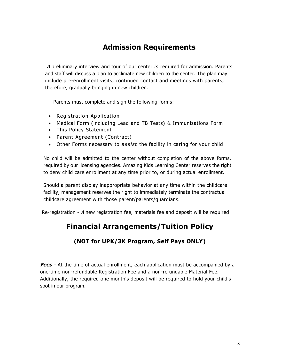### **Admission Requirements**

A preliminary interview and tour of our center *is* required for admission. Parents and staff will discuss a plan to acclimate new children to the center. The plan may include pre-enrollment visits, continued contact and meetings with parents, therefore, gradually bringing in new children.

Parents must complete and sign the following forms:

- Registration Application
- Medical Form (including Lead and TB Tests) & Immunizations Form
- This Policy Statement
- Parent Agreement (Contract)
- Other Forms necessary to *assist* the facility in caring for your child

No child will be admitted to the center without completion of the above forms, required by our licensing agencies. Amazing Kids Learning Center reserves the right to deny child care enrollment at any time prior to, or during actual enrollment.

Should a parent display inappropriate behavior at any time within the childcare facility, management reserves the right to immediately terminate the contractual childcare agreement with those parent/parents/guardians.

Re-registration - A new registration fee, materials fee and deposit will be required.

### **Financial Arrangements/Tuition Policy**

### **(NOT for UPK/3K Program, Self Pays ONLY)**

**Fees** - At the time of actual enrollment, each application must be accompanied by a one-time non-refundable Registration Fee and a non-refundable Material Fee. Additionally, the required one month's deposit will be required to hold your child's spot in our program.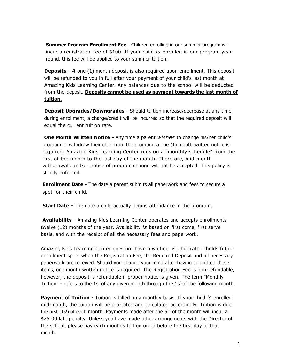**Summer Program Enrollment Fee -** Children enrolling in our summer program will incur a registration fee of \$100. If your child *is* enrolled in our program year round, this fee will be applied to your summer tuition.

**Deposits -** A one (1) month deposit is also required upon enrollment. This deposit will be refunded to you in full after your payment of your child's last month at Amazing Kids Learning Center. Any balances due to the school will be deducted from the deposit. **Deposits cannot be used as payment towards the last month of tuition.** 

**Deposit Upgrades/Downgrades -** Should tuition increase/decrease at any time during enrollment, a charge/credit will be incurred so that the required deposit will equal the current tuition rate.

**One Month Written Notice -** Any time a parent *wishes* to change his/her child's program or withdraw their child from the program, a one (1) month written notice is required. Amazing Kids Learning Center runs on a "monthly schedule" from the first of the month to the last day of the month. Therefore, mid-month withdrawals and/or notice of program change will not be accepted. This policy is strictly enforced.

**Enrollment Date -** The date a parent submits all paperwork and fees to secure a spot for their child.

**Start Date -** The date a child actually begins attendance in the program.

**Availability -** Amazing Kids Learning Center operates and accepts enrollments twelve (12) months of the year. Availability *is* based on first come, first serve basis, and with the receipt of all the necessary fees and paperwork.

Amazing Kids Learning Center does not have a waiting list, but rather holds future enrollment spots when the Registration Fee, the Required Deposit and all necessary paperwork are received. Should you change your mind after having submitted these items, one month written notice is required. The Registration Fee is non-refundable, however, the deposit is refundable if proper notice is given. The term "Monthly Tuition" - refers to the 1s<sup>t</sup> of any given month through the 1s<sup>t</sup> of the following month.

**Payment of Tuition -** Tuition is billed on a monthly basis. If your child *is* enrolled mid-month, the tuition will be pro-rated and calculated accordingly. Tuition is due the first (1s<sup>t</sup>) of each month. Payments made after the  $5<sup>th</sup>$  of the month will incur a \$25.00 late penalty. Unless you have made other arrangements with the Director of the school, please pay each month's tuition on or before the first day of that month.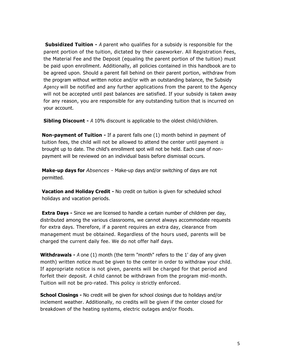**Subsidized Tuition -** *A* parent who qualifies for a subsidy is responsible for the parent portion of the tuition, dictated by their caseworker. All Registration Fees, the Material Fee and the Deposit (equaling the parent portion of the tuition) must be paid upon enrollment. Additionally, all policies contained in this handbook are to be agreed upon. Should a parent fall behind on their parent portion, withdraw from the program without written notice and/or with an outstanding balance, the Subsidy *Agency* will be notified and any further applications from the parent to the Agency will not be accepted until past balances are satisfied. If your subsidy is taken away for any reason, you are responsible for any outstanding tuition that is incurred on your account.

**Sibling Discount -** *A* 10% discount is applicable to the oldest child/children.

**Non-payment of Tuition -** If a parent falls one (1) month behind in payment of tuition fees, the child will not be allowed to attend the center until payment *is*  brought up to date. The child's enrollment spot will not be held. Each case of nonpayment will be reviewed on an individual basis before dismissal occurs.

**Make-up days for** *Absences -* Make-up days and/or switching of days are not permitted.

**Vacation and Holiday Credit -** No credit on tuition is given for scheduled school holidays and vacation periods.

**Extra Days -** Since we are licensed to handle a certain number of children per day, distributed among the various classrooms, we cannot always accommodate requests for extra days. Therefore, if a parent requires an extra day, clearance from management must be obtained. Regardless of the hours used, parents will be charged the current daily fee. We do not offer half days.

**Withdrawals -** *A* one (1) month (the term "month" refers to the 1' day of any given month) written notice must be given to the center in order to withdraw your child. If appropriate notice is not given, parents will be charged for that period and forfeit their deposit. *A* child cannot be withdrawn from the program mid-month. Tuition will not be pro-rated. This policy *is* strictly enforced.

**School Closings -** No credit will be given for school closings due to holidays and/or inclement weather. Additionally, no credits will be given if the center closed for breakdown of the heating systems, electric outages and/or floods.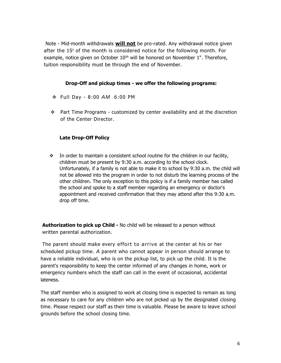Note - Mid-month withdrawals **will not** be pro-rated. Any withdrawal notice given after the  $1S<sup>t</sup>$  of the month is considered notice for the following month. For example, notice given on October  $10<sup>th</sup>$  will be honored on November 1". Therefore, tuition responsibility must be through the end of November.

#### **Drop-Off and pickup times - we offer the following programs:**

- $\div$  Full Day 8:00 AM 6:00 PM
- Part Time Programs customized by center availability and at the discretion of the Center Director.

#### **Late Drop-Off Policy**

 $\div$  In order to maintain a consistent school routine for the children in our facility, children must be present by 9:30 a.m. according to the school clock. Unfortunately, if a family is not able to make it to school by 9:30 a.m. the child will not be allowed into the program in order to not disturb the learning process of the other children. The only exception to this policy is if a family member has called the school and spoke to a staff member regarding an emergency or doctor's appointment and received confirmation that they may attend after this 9:30 a.m. drop off time.

**Authorization to pick up Child -** No child will be released to a person without written parental authorization.

The parent should make every effort to arrive at the center at his or her scheduled pickup time. *A* parent who cannot appear in person should arrange to have a reliable individual, who is on the pickup list, to pick up the child. It is the parent's responsibility to keep the center informed of any changes in home, work or emergency numbers which the staff can call in the event of occasional, accidental lateness.

The staff member who is assigned to work at closing time is expected to remain as long as necessary to care for any children who are not picked up by the designated closing time. Please respect our staff as their time is valuable. Please be aware to leave school grounds before the school closing time.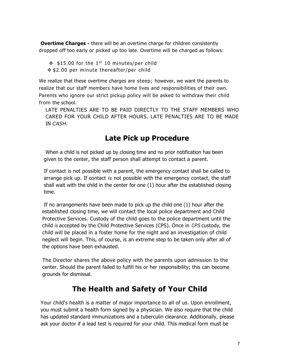**Overtime Charges -** there will be an overtime charge for children consistently dropped off too early or picked up too late. Overtime will be charged as follows:

 $\div$  \$15.00 for the 1<sup>st</sup> 10 minutes/per child  **\$2.00 per minute thereafter/per child** 

We realize that these overtime charges are steep; however, we want the parents to realize that our staff members have home lives and responsibilities of their own. Parents who ignore our strict pickup policy will be asked to withdraw their child from the school.

LATE PENALTIES ARE TO BE PAID DIRECTLY TO THE STAFF MEMBERS WHO CARED FOR YOUR CHILD AFTER HOURS. LATE PENALTIES ARE TO BE MADE IN *CASH.*

### **Late Pick up Procedure**

When a child is not picked up by closing time and no prior notification has been given to the center, the staff person shall attempt to contact a parent.

If contact is not possible with a parent, the emergency contact shall be called to arrange pick up. If contact *is* not possible with the emergency contact, the staff shall wait with the child in the center for one (1) hour after the established closing time.

If no arrangements have been made to pick up the child one (1) hour after the established closing time, we will contact the local police department and Child Protective Services. Custody of the child goes to the police department until the child *is* accepted by the Child Protective Services (CPS). Once in *CPS* custody, the child will be placed in a foster home for the night and an investigation of child neglect will begin. This, of course, is an extreme step to be taken only after all of the options have been exhausted.

The Director shares the above policy with the parents upon admission to the center. Should the parent failed to fulfill his or her responsibility; this can become grounds for dismissal.

# **The Health and Safety of Your Child**

Your child's health is a matter of major importance to all of us. Upon enrollment, you must submit a health form signed by a physician. We also require that the child has updated standard immunizations and a tuberculin clearance. Additionally, please ask your doctor if a lead test is required for your child. This medical form must be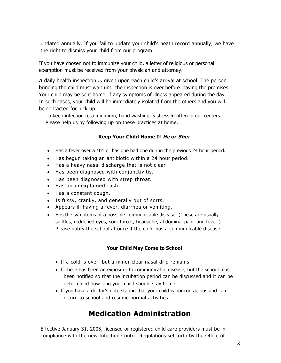updated annually. If you fail to update your child's heath record annually, we have the right to dismiss your child from our program.

If you have chosen not to immunize your child, a letter of religious or personal exemption must be received from your physician and attorney.

*A* daily health inspection *is* given upon each child's arrival at school. The person bringing the child must wait until the inspection is over before leaving the premises. Your child may be sent home, if any symptoms of illness appeared during the day. In such cases, your child will be immediately isolated from the others and you will be contacted for pick up.

To keep infection to a minimum, hand washing *is* stressed often in our centers. Please help us by following up on these practices at home.

#### **Keep Your Child Home If He or She:**

- Has a fever over a 101 or has one had one during the previous 24 hour period.
- Has begun taking an antibiotic within a 24 hour period.
- Has a heavy nasal discharge that is not clear
- Has been diagnosed with conjunctivitis.
- Has been diagnosed with strep throat.
- Has an unexplained rash.
- Has a constant cough.
- Is fussy, cranky, and generally out of sorts.
- Appears ill having a fever, diarrhea or vomiting.
- Has the symptoms of a possible communicable disease. (These are usually sniffles, reddened eyes, sore throat, headache, abdominal pain, and fever.) Please notify the school at once if the child has a communicable disease.

#### **Your Child May Come to School**

- If a cold is over, but a minor clear nasal drip remains.
- If there has been an exposure to communicable disease, but the school must been notified so that the incubation period can be discussed and it can be determined how long your child should stay home.
- If you have a doctor's note stating that your child is noncontagious and can return to school and resume normal activities

### **Medication Administration**

Effective January 31, 2005, licensed or registered child care providers must be in compliance with the new Infection Control Regulations set forth by the Office of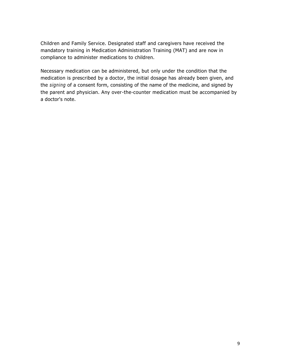Children and Family Service. Designated staff and caregivers have received the mandatory training in Medication Administration Training (MAT) and are now in compliance to administer medications to children.

Necessary medication can be administered, but only under the condition that the medication is prescribed by a doctor, the initial dosage has already been given, and the *signing* of a consent form, consisting of the name of the medicine, and signed by the parent and physician. Any over-the-counter medication must be accompanied by a doctor's note.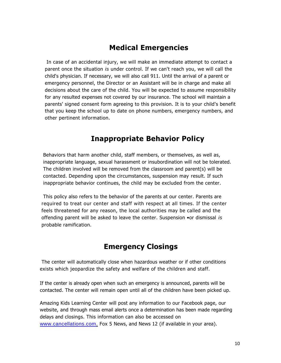### **Medical Emergencies**

In case of an accidental injury, we will make an immediate attempt to contact a parent once the situation *is* under control. If we can't reach you, we will call the child's physician. If necessary, we will also call 911. Until the arrival of a parent or emergency personnel, the Director or an Assistant will be in charge and make all decisions about the care of the child. You will be expected to assume responsibility for any resulted expenses not covered by our insurance. The school will maintain a parents' signed consent form agreeing to this provision. It is to your child's benefit that you keep the school up to date on phone numbers, emergency numbers, and other pertinent information.

### **Inappropriate Behavior Policy**

Behaviors that harm another child, staff members, or themselves, as well as, inappropriate language, sexual harassment or insubordination will not be tolerated. The children involved will be removed from the classroom and parent(s) will be contacted. Depending upon the circumstances, suspension may result. If such inappropriate behavior continues, the child may be excluded from the center.

This policy also refers to the behavior of the parents at our center. Parents are required to treat our center and staff with respect at all times. If the center feels threatened for any reason, the local authorities may be called and the offending parent will be asked to leave the center. Suspension •or dismissal *is*  probable ramification.

### **Emergency Closings**

The center will automatically close when hazardous weather or if other conditions exists which jeopardize the safety and welfare of the children and staff.

If the center is already open when such an emergency is announced, parents will be contacted. The center will remain open until all of the children have been picked up.

Amazing Kids Learning Center will post any information to our Facebook page, our website, and through mass email alerts once a determination has been made regarding delays and closings. This information can also be accessed on [www.cancellations.com,](http://www.cancellations.com/) Fox 5 News, and News 12 (if available in your area).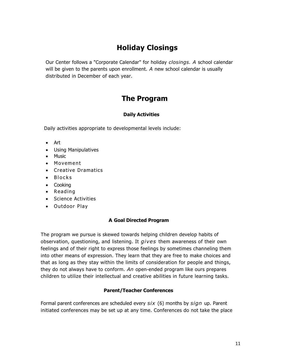# **Holiday Closings**

Our Center follows a "Corporate Calendar" for holiday *closings. A* school calendar will be given to the parents upon enrollment. *A* new school calendar is usually distributed in December of each year.

### **The Program**

#### **Daily Activities**

Daily activities appropriate to developmental levels include:

- Art
- Using Manipulatives
- Music
- Movement
- Creative Dramatics
- $\bullet$  Blocks
- Cooking
- Reading
- Science Activities
- Outdoor Play

#### **A Goal Directed Program**

The program we pursue is skewed towards helping children develop habits of observation, questioning, and listening. It *gives* them awareness of their own feelings and of their right to express those feelings by sometimes channeling them into other means of expression. They learn that they are free to make choices and that as long as they stay within the limits of consideration for people and things, they do not always have to conform. *An* open-ended program like ours prepares children to utilize their intellectual and creative abilities in future learning tasks.

#### **Parent/Teacher Conferences**

Formal parent conferences are scheduled every *six* (6) months by *sign* up. Parent initiated conferences may be set up at any time. Conferences do not take the place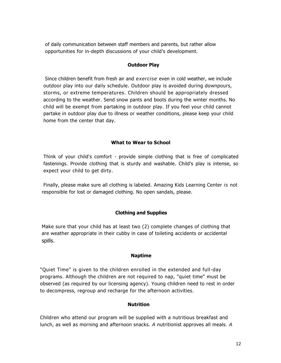of daily communication between staff members and parents, but rather allow opportunities for in-depth discussions of your child's development.

#### **Outdoor Play**

Since children benefit from fresh air and *exercise* even in cold weather, we include outdoor play into our daily schedule. Outdoor play is avoided during downpours, storms, or extreme temperatures. Children should be appropriately dressed according to the weather. Send snow pants and boots during the winter months. No child will be exempt from partaking in outdoor play. If you feel your child cannot partake in outdoor play due to illness or weather conditions, please keep your child home from the center that day.

#### **What to Wear to School**

Think of your child's comfort - provide simple clothing that is free of complicated fastenings. Provide clothing that is sturdy and washable. Child's play is intense, so expect your child to get dirty.

Finally, please make sure all clothing is labeled. Amazing Kids Learning Center *is* not responsible for lost or damaged clothing. No open sandals, please.

#### **Clothing and Supplies**

Make sure that your child has at least two (2) complete changes of clothing that are weather appropriate in their cubby in case of toileting accidents or accidental spills.

#### **Naptime**

"Quiet Time" is given to the children enrolled in the extended and full-day programs. Although the children are not required to nap, "quiet time" must be observed (as required by our licensing agency). Young children need to rest in order to decompress, regroup and recharge for the afternoon activities.

#### **Nutrition**

Children who attend our program will be supplied with a nutritious breakfast and lunch, as well as morning and afternoon snacks. *A* nutritionist approves all meals. *A*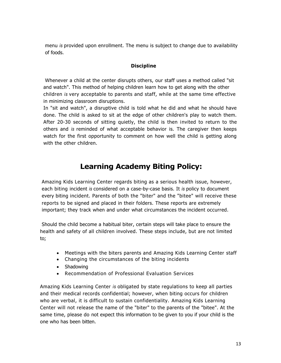menu *is* provided upon enrollment. The menu is subject to change due to availability of foods.

#### **Discipline**

Whenever a child at the center disrupts others, our staff uses a method called "sit and watch". This method of helping children learn how to get along with the other children *is* very acceptable to parents and staff, while at the same time effective in minimizing classroom disruptions.

In "sit and watch", a disruptive child is told what he did and what he should have done. The child is asked to sit at the edge of other children's play to watch them. After 20-30 seconds of sitting quietly, the child is then invited to return to the others and *is* reminded of what acceptable behavior is. The caregiver then keeps watch for the first opportunity to comment on how well the child is getting along with the other children.

# **Learning Academy Biting Policy:**

Amazing Kids Learning Center regards biting as a serious health issue, however, each biting incident *is* considered on a case-by-case basis. It *is* policy to document every biting incident. Parents of both the "biter" and the "bitee" will receive these reports to be signed and placed in their folders. These reports are extremely important; they track when and under what circumstances the incident occurred.

Should the child become a habitual biter, certain steps will take place to ensure the health and safety of all children involved. These steps include, but are not limited to;

- Meetings with the biters parents and Amazing Kids Learning Center staff
- Changing the circumstances of the biting incidents
- Shadowing
- Recommendation of Professional Evaluation Services

Amazing Kids Learning Center *is* obligated by state regulations to keep all parties and their medical records confidential; however, when biting occurs for children who are verbal, it is difficult to sustain confidentiality. Amazing Kids Learning Center will not release the name of the "biter" to the parents of the "bitee". At the same time, please do not expect this information to be given to you if your child is the one who has been bitten.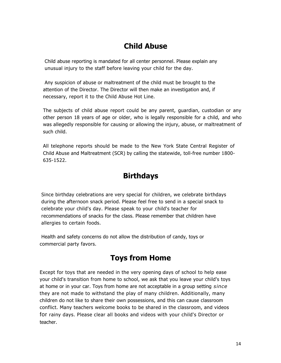### **Child Abuse**

Child abuse reporting is mandated for all center personnel. Please explain any unusual injury to the staff before leaving your child for the day.

Any suspicion of abuse or maltreatment of the child must be brought to the attention of the Director. The Director will then make an investigation and, if necessary, report it to the Child Abuse Hot Line.

The subjects of child abuse report could be any parent, guardian, custodian or any other person 18 years of age or older, who is legally responsible for a child, and who was allegedly responsible for causing or allowing the injury, abuse, or maltreatment of such child.

All telephone reports should be made to the New York State Central Register of Child Abuse and Maltreatment (SCR) by calling the statewide, toll-free number 1800- 635-1522.

# **Birthdays**

Since birthday celebrations are very special for children, we celebrate birthdays during the afternoon snack period. Please feel free to send in a special snack to celebrate your child's day. Please speak to your child's teacher for recommendations of snacks for the class. Please remember that children have allergies to certain foods.

Health and safety concerns do not allow the distribution of candy, toys or commercial party favors.

# **Toys from Home**

Except for toys that are needed in the very opening days of school to help ease your child's transition from home to school, we ask that you leave your child's toys at home or in your car. Toys from home are not acceptable in a group setting *since*  they are not made to withstand the play of many children. Additionally, many children do not like to share their own possessions, and this can cause classroom conflict. Many teachers welcome books to be shared in the classroom, and videos for rainy days. Please clear all books and videos with your child's Director or teacher.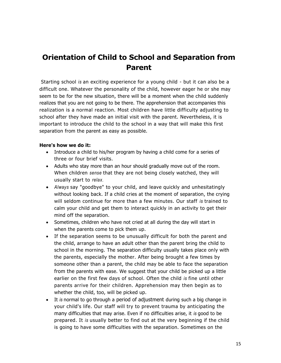# **Orientation of Child to School and Separation from Parent**

Starting school *is* an exciting experience for a young child - but it can also be a difficult one. Whatever the personality of the child, however eager he or she may seem to be for the new situation, there will be a moment when the child suddenly realizes that you are not going to be there. The apprehension that accompanies this realization is a normal reaction. Most children have little difficulty adjusting to school after they have made an initial visit with the parent. Nevertheless, it is important to introduce the child to the school in a way that will make this first separation from the parent as easy as possible.

#### **Here's how we do it:**

- Introduce a child to his/her program by having a child come for a series of three or four brief visits.
- Adults who stay more than an hour should gradually move out of the room. When children *sense* that they are not being closely watched, they will usually start to *relax.*
- *Always* say "goodbye" to your child, and leave quickly and unhesitatingly without looking back. If a child cries at the moment of separation, the crying will seldom continue for more than a few minutes. Our staff *is* trained to calm your child and get them to interact quickly in an activity to get their mind off the separation.
- Sometimes, children who have not cried at all during the day will start in when the parents come to pick them up.
- If the separation seems to be unusually difficult for both the parent and the child, arrange to have an adult other than the parent bring the child to school in the morning. The separation difficulty usually takes place only with the parents, especially the mother. After being brought a few times by someone other than a parent, the child may be able to face the separation from the parents with ease. We suggest that your child be picked up a little earlier on the first few days of school. Often the child *is* fine until other parents arrive for their children. Apprehension may then begin as to whether the child, too, will be picked up.
- It *is* normal to go through a period of adjustment during such a big change in your child's life. Our staff will try to prevent trauma by anticipating the many difficulties that may arise. Even if no difficulties arise, it *is* good to be prepared. It *is* usually better to find out at the very beginning if the child is going to have some difficulties with the separation. Sometimes on the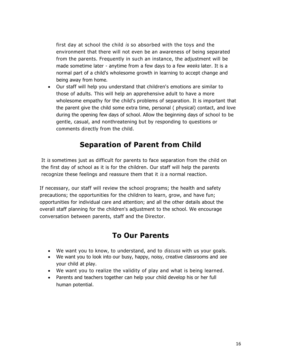first day at school the child *is* so absorbed with the toys and the environment that there will not even be an awareness of being separated from the parents. Frequently in such an instance, the adjustment will be made sometime later - anytime from a few days to a few *weeks* later. It is a normal part of a child's wholesome growth in learning to accept change and being away from home.

 Our staff will help you understand that children's emotions are similar to those of adults. This will help an apprehensive adult to have a more wholesome empathy for the child's problems of separation. It is important that the parent give the child some extra time, personal ( physical) contact, and love during the opening few days of school. Allow the beginning days of school to be gentle, casual, and nonthreatening but by responding to questions or comments directly from the child.

# **Separation of Parent from Child**

It *is* sometimes just as difficult for parents to face separation from the child on the first day of school as it is for the children. Our staff will help the parents recognize these feelings and reassure them that it *is* a normal reaction.

If necessary, our staff will review the school programs; the health and safety precautions; the opportunities for the children to learn, grow, and have fun; opportunities for individual care and attention; and all the other details about the overall staff planning for the children's adjustment to the school. We encourage conversation between parents, staff and the Director.

### **To Our Parents**

- We want you to know, to understand, and to *discuss* with us your goals.
- We want you to look into our busy, happy, noisy, creative classrooms and *see*  your child at play.
- We want you to realize the validity of play and what is being learned.
- Parents and teachers together can help your child develop his or her full human potential.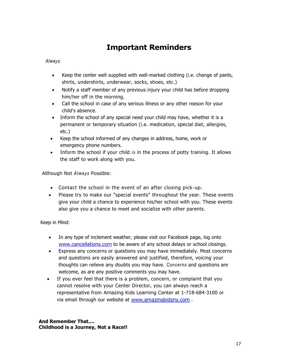# **Important Reminders**

*Always:*

- Keep the center well supplied with well-marked clothing (i.e. change of pants, shirts, undershirts, underwear, socks, shoes, etc.)
- Notify a staff member of any previous injury your child has before dropping him/her off in the morning.
- Call the school in case of any serious illness or any other reason for your child's absence.
- Inform the school of any special need your child may have, whether it is a permanent or temporary situation (i.e. medication, special diet, allergies, etc.)
- Keep the school informed of any changes in address, home, work or emergency phone numbers.
- Inform the school if your child *is* in the process of potty training. It allows the staff to work along with you.

Although Not *Always* Possible:

- Contact the school in the event of an after closing pick-up.
- Please try to make our "special events" throughout the year. These events give your child a chance to experience his/her school with you. These events also give you a chance to meet and socialize with other parents.

Keep in Mind:

- In any type of inclement weather, please visit our Facebook page, log onto [www.cancellations.com](http://www.cancellations.com/) to be aware of any school delays or school closings.
- Express any concerns or questions you may have immediately. Most concerns and questions are easily answered and justified, therefore, voicing your thoughts can relieve any doubts you may have. *Concerns* and questions are welcome, as are any positive comments you may have.
- If you ever feel that there is a problem, concern, or complaint that you cannot resolve with your Center Director, you can always reach a representative from Amazing Kids Learning Center at 1-718-684-3100 or via email through our website at [www.amazingkidsny.com](http://www.amazingkidsny.com/) .

**And Remember That.... Childhood is a Journey, Not a Race!!**